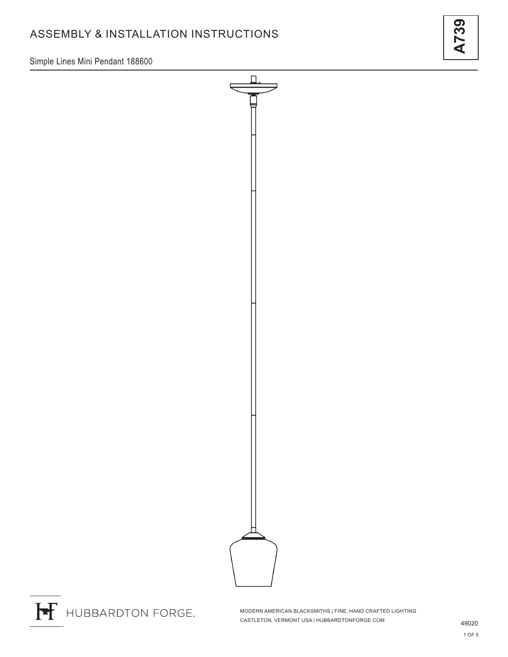Simple Lines Mini Pendant 188600





MODERN AMERICAN BLACKSMITHS | FINE, HAND CRAFTED LIGHTING CASTLETON, VERMONT USA | HUBBARDTONFORGE.COM 49020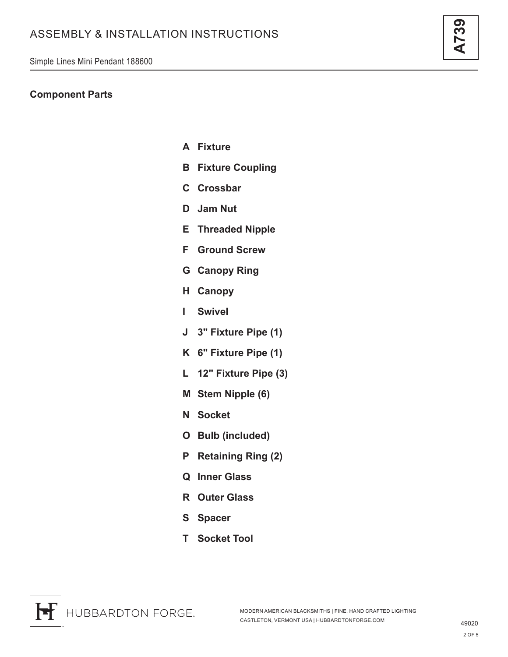### **Component Parts**

- **A Fixture**
- **B Fixture Coupling**
- **C Crossbar**
- **D Jam Nut**
- **E Threaded Nipple**
- **F Ground Screw**
- **G Canopy Ring**
- **H Canopy**
- **I Swivel**
- **J 3" Fixture Pipe (1)**
- **K 6" Fixture Pipe (1)**
- **L 12" Fixture Pipe (3)**
- **M Stem Nipple (6)**
- **N Socket**
- **O Bulb (included)**
- **P Retaining Ring (2)**
- **Q Inner Glass**
- **R Outer Glass**
- **S Spacer**
- **T Socket Tool**

**A739**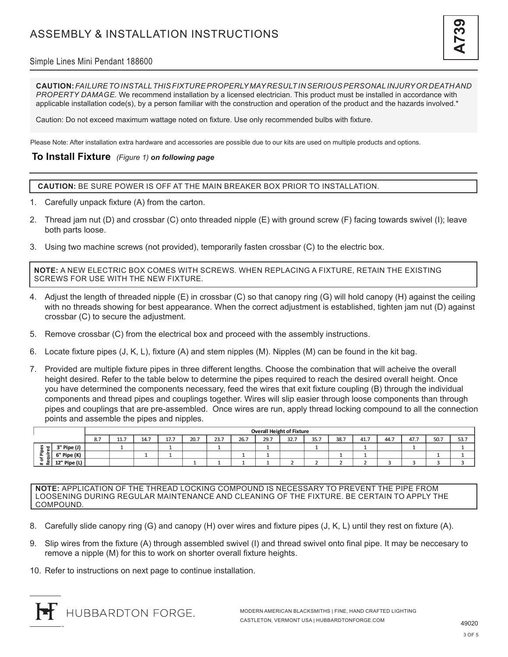

#### Simple Lines Mini Pendant 188600

**CAUTION:** *FAILURE TO INSTALL THIS FIXTURE PROPERLY MAY RESULT IN SERIOUS PERSONAL INJURY OR DEATH AND PROPERTY DAMAGE.* We recommend installation by a licensed electrician. This product must be installed in accordance with applicable installation code(s), by a person familiar with the construction and operation of the product and the hazards involved.\*

Caution: Do not exceed maximum wattage noted on fixture. Use only recommended bulbs with fixture.

Please Note: After installation extra hardware and accessories are possible due to our kits are used on multiple products and options.

#### **To Install Fixture** *(Figure 1) on following page*

**CAUTION:** BE SURE POWER IS OFF AT THE MAIN BREAKER BOX PRIOR TO INSTALLATION.

- 1. Carefully unpack fixture (A) from the carton.
- 2. Thread jam nut (D) and crossbar (C) onto threaded nipple (E) with ground screw (F) facing towards swivel (I); leave both parts loose.
- 3. Using two machine screws (not provided), temporarily fasten crossbar (C) to the electric box.

**NOTE:** A NEW ELECTRIC BOX COMES WITH SCREWS. WHEN REPLACING A FIXTURE, RETAIN THE EXISTING SCREWS FOR USE WITH THE NEW FIXTURE.

- 4. Adjust the length of threaded nipple (E) in crossbar (C) so that canopy ring (G) will hold canopy (H) against the ceiling with no threads showing for best appearance. When the correct adjustment is established, tighten jam nut (D) against crossbar (C) to secure the adjustment.
- 5. Remove crossbar (C) from the electrical box and proceed with the assembly instructions.
- 6. Locate fixture pipes (J, K, L), fixture (A) and stem nipples (M). Nipples (M) can be found in the kit bag.
- 7. Provided are multiple fixture pipes in three different lengths. Choose the combination that will acheive the overall height desired. Refer to the table below to determine the pipes required to reach the desired overall height. Once you have determined the components necessary, feed the wires that exit fixture coupling (B) through the individual components and thread pipes and couplings together. Wires will slip easier through loose components than through pipes and couplings that are pre-assembled. Once wires are run, apply thread locking compound to all the connection points and assemble the pipes and nipples.

|                                                     |              | <b>Overall Height of Fixture</b> |                                                            |      |      |               |      |      |      |      |           |      |      |      |      |      |      |
|-----------------------------------------------------|--------------|----------------------------------|------------------------------------------------------------|------|------|---------------|------|------|------|------|-----------|------|------|------|------|------|------|
|                                                     |              | 0 <sub>7</sub><br>Ö. I           | $\overline{a}$ $\overline{a}$ $\overline{a}$<br><b>LL.</b> | 14.7 | 17.7 | $20 -$<br>ZU. | 23.7 | 26.7 | 29.7 | 32.7 | 35.7<br>. | 38.7 | 41.7 | 44.7 | 47.7 | 50.7 | 53.7 |
| ਰ।<br>$\bar{a}$<br>은<br>т.<br>-<br>ਨ<br>-a»<br>. ∝≊ | 3" Pipe (J)  |                                  |                                                            |      |      |               |      |      |      |      |           |      |      |      |      |      |      |
|                                                     | 6" Pipe (K)  |                                  |                                                            |      |      |               |      |      |      |      |           |      |      |      |      |      |      |
|                                                     | 12" Pipe (L) |                                  |                                                            |      |      |               |      |      |      |      |           |      |      |      |      |      |      |

**NOTE:** APPLICATION OF THE THREAD LOCKING COMPOUND IS NECESSARY TO PREVENT THE PIPE FROM LOOSENING DURING REGULAR MAINTENANCE AND CLEANING OF THE FIXTURE. BE CERTAIN TO APPLY THE COMPOUND.

- 8. Carefully slide canopy ring (G) and canopy (H) over wires and fixture pipes (J, K, L) until they rest on fixture (A).
- 9. Slip wires from the fixture (A) through assembled swivel (I) and thread swivel onto final pipe. It may be neccesary to remove a nipple (M) for this to work on shorter overall fixture heights.
- 10. Refer to instructions on next page to continue installation.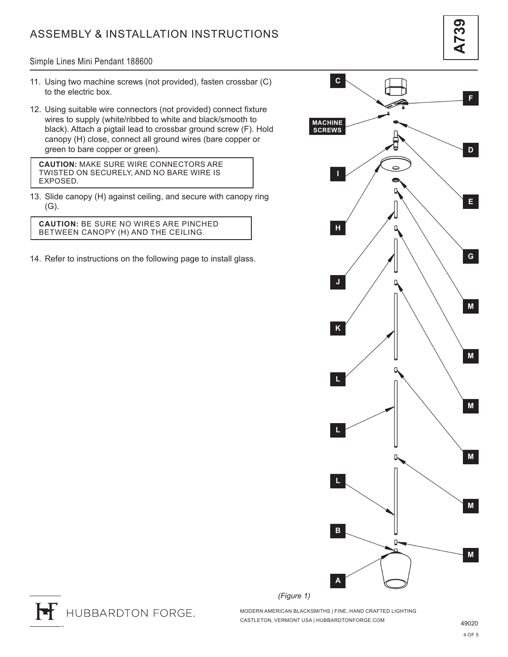#### Simple Lines Mini Pendant 188600

- 11. Using two machine screws (not provided), fasten crossbar (C) to the electric box.
- 12. Using suitable wire connectors (not provided) connect fixture wires to supply (white/ribbed to white and black/smooth to black). Attach a pigtail lead to crossbar ground screw (F). Hold canopy (H) close, connect all ground wires (bare copper or green to bare copper or green).

**CAUTION:** MAKE SURE WIRE CONNECTORS ARE TWISTED ON SECURELY, AND NO BARE WIRE IS EXPOSED.

13. Slide canopy (H) against ceiling, and secure with canopy ring (G).

**CAUTION:** BE SURE NO WIRES ARE PINCHED BETWEEN CANOPY (H) AND THE CEILING.

14. Refer to instructions on the following page to install glass.





HUBBARDTON FORGE.

MODERN AMERICAN BLACKSMITHS | FINE, HAND CRAFTED LIGHTING CASTLETON, VERMONT USA | HUBBARDTONFORGE.COM 49020